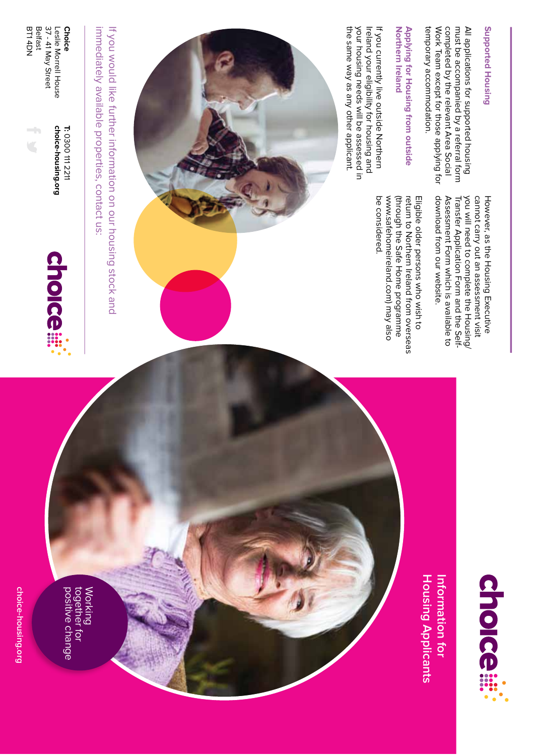choice-housing.org **choice-housing.org**

positive change together for Working<br>together for<br>positive change



choice-housing.org **T: choice-housing.org** 0300 111 2211

BT1 4DN Belfast

BT1 4DN

37 - 41 May Street Leslie Morrell House

37 - 41 May Street Leslie Morrell House **Choice**

immediately available properties, contact us: If you would like further information on our housing stock and immediately available properties, contact us: If you would like further information on our housing stock and





**Housing Applicants** Information for **Housing Applicants Information for** 

## **Supported Housing Supported Housing**

completed by the relevant Area Social temporary accommodation. Work Team except for those applying for All applications for supported housing<br>must be accompanied by a referral form temporary accommodation. Work Team except for those applying for completed by the relevant Area Social must be accompanied by a referral form All applications for supported housing

download from our website.

download from our website.

Assessment Form which is available to Transfer Application Form and the Selfyou will need to complete the Housing/ cannot carry out an assessment visit However, as the Housing Executive

Assessment Form which is available to Transfer Application Form and the Self-

you will need to complete the Housing/

cannot carry out an assessment visit However, as the Housing Executive

## **Northern Ireland** Applying for Housing from outside **Applying for Housing from outside Northern Ireland**

the same way as any other applicant. your housing needs will be assessed in Ireland your eligibility for housing and If you currently live outside Northern your housing needs will be assessed in the same way as any other applicant. Ireland your eligibility for housing and If you currently live outside Northern

be considered.

be considered.

www.safehomeireland.com) may also (through the Safe Home programme return to Northern Ireland from overseas Eligible older persons who wish to

www.safehomeireland.com) may also (through the Safe Home programme

return to Northern Ireland from overseas Eligible older persons who wish to